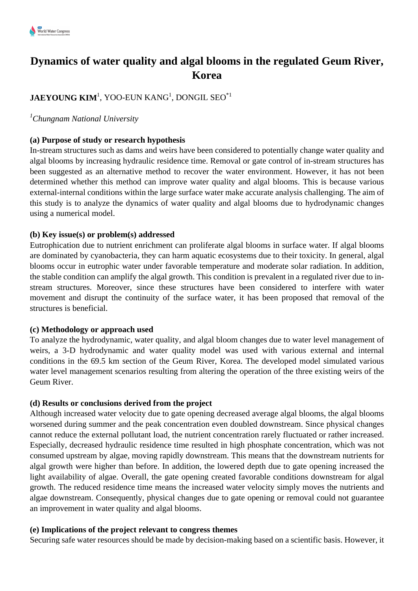# **Dynamics of water quality and algal blooms in the regulated Geum River, Korea**

# $\mathbf{JAEYOUNG}\ \mathbf{KIM}^{1}\mathbf{,}\ \mathbf{YOO}\text{-EUN}\ \mathbf{KANG}^{1}\mathbf{,}\ \mathbf{DOMGIL}\ \mathbf{SEQ}^{*1}$

# *<sup>1</sup>Chungnam National University*

### **(a) Purpose of study or research hypothesis**

In-stream structures such as dams and weirs have been considered to potentially change water quality and algal blooms by increasing hydraulic residence time. Removal or gate control of in-stream structures has been suggested as an alternative method to recover the water environment. However, it has not been determined whether this method can improve water quality and algal blooms. This is because various external-internal conditions within the large surface water make accurate analysis challenging. The aim of this study is to analyze the dynamics of water quality and algal blooms due to hydrodynamic changes using a numerical model.

#### **(b) Key issue(s) or problem(s) addressed**

Eutrophication due to nutrient enrichment can proliferate algal blooms in surface water. If algal blooms are dominated by cyanobacteria, they can harm aquatic ecosystems due to their toxicity. In general, algal blooms occur in eutrophic water under favorable temperature and moderate solar radiation. In addition, the stable condition can amplify the algal growth. This condition is prevalent in a regulated river due to instream structures. Moreover, since these structures have been considered to interfere with water movement and disrupt the continuity of the surface water, it has been proposed that removal of the structures is beneficial.

#### **(c) Methodology or approach used**

To analyze the hydrodynamic, water quality, and algal bloom changes due to water level management of weirs, a 3-D hydrodynamic and water quality model was used with various external and internal conditions in the 69.5 km section of the Geum River, Korea. The developed model simulated various water level management scenarios resulting from altering the operation of the three existing weirs of the Geum River.

#### **(d) Results or conclusions derived from the project**

Although increased water velocity due to gate opening decreased average algal blooms, the algal blooms worsened during summer and the peak concentration even doubled downstream. Since physical changes cannot reduce the external pollutant load, the nutrient concentration rarely fluctuated or rather increased. Especially, decreased hydraulic residence time resulted in high phosphate concentration, which was not consumed upstream by algae, moving rapidly downstream. This means that the downstream nutrients for algal growth were higher than before. In addition, the lowered depth due to gate opening increased the light availability of algae. Overall, the gate opening created favorable conditions downstream for algal growth. The reduced residence time means the increased water velocity simply moves the nutrients and algae downstream. Consequently, physical changes due to gate opening or removal could not guarantee an improvement in water quality and algal blooms.

# **(e) Implications of the project relevant to congress themes**

Securing safe water resources should be made by decision-making based on a scientific basis. However, it